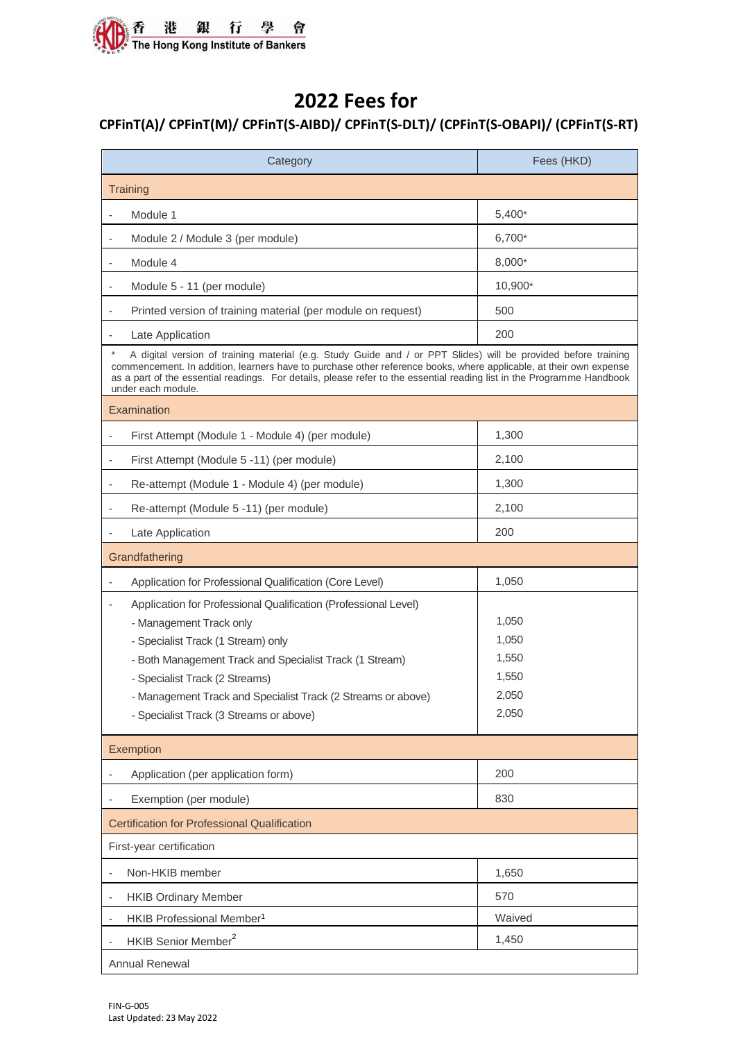

## **2022 Fees for**

## **CPFinT(A)/ CPFinT(M)/ CPFinT(S-AIBD)/ CPFinT(S-DLT)/ (CPFinT(S-OBAPI)/ (CPFinT(S-RT)**

| Category                                                                                                                                                                                                                                                                                                                                                                             | Fees (HKD) |  |
|--------------------------------------------------------------------------------------------------------------------------------------------------------------------------------------------------------------------------------------------------------------------------------------------------------------------------------------------------------------------------------------|------------|--|
| Training                                                                                                                                                                                                                                                                                                                                                                             |            |  |
| Module 1                                                                                                                                                                                                                                                                                                                                                                             | $5,400*$   |  |
| Module 2 / Module 3 (per module)                                                                                                                                                                                                                                                                                                                                                     | 6,700*     |  |
| Module 4                                                                                                                                                                                                                                                                                                                                                                             | 8,000*     |  |
| Module 5 - 11 (per module)                                                                                                                                                                                                                                                                                                                                                           | 10,900*    |  |
| Printed version of training material (per module on request)<br>$\overline{\phantom{a}}$                                                                                                                                                                                                                                                                                             | 500        |  |
| Late Application                                                                                                                                                                                                                                                                                                                                                                     | 200        |  |
| A digital version of training material (e.g. Study Guide and / or PPT Slides) will be provided before training<br>commencement. In addition, learners have to purchase other reference books, where applicable, at their own expense<br>as a part of the essential readings. For details, please refer to the essential reading list in the Programme Handbook<br>under each module. |            |  |
| Examination                                                                                                                                                                                                                                                                                                                                                                          |            |  |
| First Attempt (Module 1 - Module 4) (per module)                                                                                                                                                                                                                                                                                                                                     | 1,300      |  |
| First Attempt (Module 5 -11) (per module)                                                                                                                                                                                                                                                                                                                                            | 2,100      |  |
| Re-attempt (Module 1 - Module 4) (per module)                                                                                                                                                                                                                                                                                                                                        | 1,300      |  |
| Re-attempt (Module 5 -11) (per module)                                                                                                                                                                                                                                                                                                                                               | 2,100      |  |
| Late Application                                                                                                                                                                                                                                                                                                                                                                     | 200        |  |
| Grandfathering                                                                                                                                                                                                                                                                                                                                                                       |            |  |
| Application for Professional Qualification (Core Level)                                                                                                                                                                                                                                                                                                                              | 1,050      |  |
| Application for Professional Qualification (Professional Level)                                                                                                                                                                                                                                                                                                                      |            |  |
| - Management Track only                                                                                                                                                                                                                                                                                                                                                              | 1,050      |  |
| - Specialist Track (1 Stream) only                                                                                                                                                                                                                                                                                                                                                   | 1,050      |  |
| - Both Management Track and Specialist Track (1 Stream)                                                                                                                                                                                                                                                                                                                              | 1,550      |  |
| - Specialist Track (2 Streams)                                                                                                                                                                                                                                                                                                                                                       | 1,550      |  |
| - Management Track and Specialist Track (2 Streams or above)                                                                                                                                                                                                                                                                                                                         | 2,050      |  |
| - Specialist Track (3 Streams or above)                                                                                                                                                                                                                                                                                                                                              | 2,050      |  |
| Exemption                                                                                                                                                                                                                                                                                                                                                                            |            |  |
| Application (per application form)                                                                                                                                                                                                                                                                                                                                                   | 200        |  |
| Exemption (per module)                                                                                                                                                                                                                                                                                                                                                               | 830        |  |
| <b>Certification for Professional Qualification</b>                                                                                                                                                                                                                                                                                                                                  |            |  |
| First-year certification                                                                                                                                                                                                                                                                                                                                                             |            |  |
| Non-HKIB member                                                                                                                                                                                                                                                                                                                                                                      | 1,650      |  |
| <b>HKIB Ordinary Member</b>                                                                                                                                                                                                                                                                                                                                                          | 570        |  |
| HKIB Professional Member <sup>1</sup>                                                                                                                                                                                                                                                                                                                                                | Waived     |  |
| HKIB Senior Member <sup>2</sup>                                                                                                                                                                                                                                                                                                                                                      | 1,450      |  |
| Annual Renewal                                                                                                                                                                                                                                                                                                                                                                       |            |  |